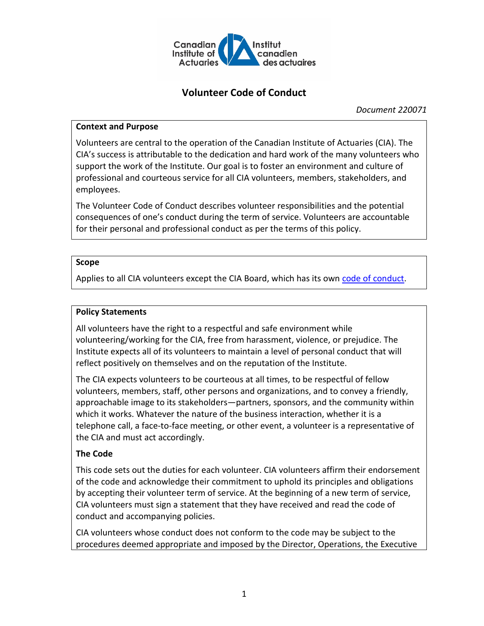

# **Volunteer Code of Conduct**

*Document 220071*

## **Context and Purpose**

Volunteers are central to the operation of the Canadian Institute of Actuaries (CIA). The CIA's success is attributable to the dedication and hard work of the many volunteers who support the work of the Institute. Our goal is to foster an environment and culture of professional and courteous service for all CIA volunteers, members, stakeholders, and employees.

The Volunteer Code of Conduct describes volunteer responsibilities and the potential consequences of one's conduct during the term of service. Volunteers are accountable for their personal and professional conduct as per the terms of this policy.

### **Scope**

Applies to all CIA volunteers except the CIA Board, which has its own [code of conduct.](http://www.cia-ica.ca/publications/publication-details/216096)

## **Policy Statements**

All volunteers have the right to a respectful and safe environment while volunteering/working for the CIA, free from harassment, violence, or prejudice. The Institute expects all of its volunteers to maintain a level of personal conduct that will reflect positively on themselves and on the reputation of the Institute.

The CIA expects volunteers to be courteous at all times, to be respectful of fellow volunteers, members, staff, other persons and organizations, and to convey a friendly, approachable image to its stakeholders—partners, sponsors, and the community within which it works. Whatever the nature of the business interaction, whether it is a telephone call, a face-to-face meeting, or other event, a volunteer is a representative of the CIA and must act accordingly.

## **The Code**

This code sets out the duties for each volunteer. CIA volunteers affirm their endorsement of the code and acknowledge their commitment to uphold its principles and obligations by accepting their volunteer term of service. At the beginning of a new term of service, CIA volunteers must sign a statement that they have received and read the code of conduct and accompanying policies.

CIA volunteers whose conduct does not conform to the code may be subject to the procedures deemed appropriate and imposed by the Director, Operations, the Executive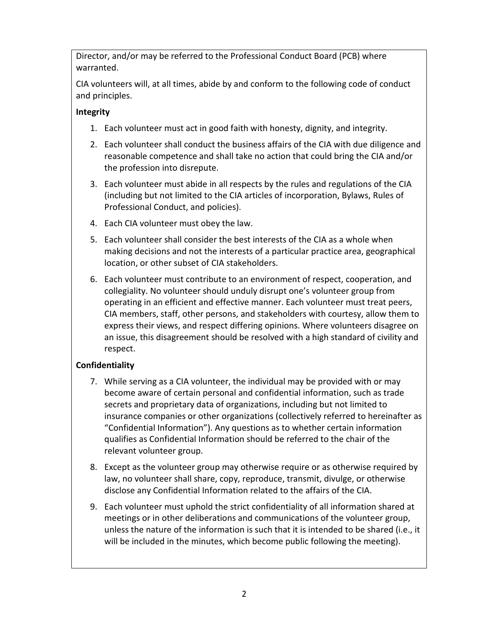Director, and/or may be referred to the Professional Conduct Board (PCB) where warranted.

CIA volunteers will, at all times, abide by and conform to the following code of conduct and principles.

## **Integrity**

- 1. Each volunteer must act in good faith with honesty, dignity, and integrity.
- 2. Each volunteer shall conduct the business affairs of the CIA with due diligence and reasonable competence and shall take no action that could bring the CIA and/or the profession into disrepute.
- 3. Each volunteer must abide in all respects by the rules and regulations of the CIA (including but not limited to the CIA articles of incorporation, Bylaws, Rules of Professional Conduct, and policies).
- 4. Each CIA volunteer must obey the law.
- 5. Each volunteer shall consider the best interests of the CIA as a whole when making decisions and not the interests of a particular practice area, geographical location, or other subset of CIA stakeholders.
- 6. Each volunteer must contribute to an environment of respect, cooperation, and collegiality. No volunteer should unduly disrupt one's volunteer group from operating in an efficient and effective manner. Each volunteer must treat peers, CIA members, staff, other persons, and stakeholders with courtesy, allow them to express their views, and respect differing opinions. Where volunteers disagree on an issue, this disagreement should be resolved with a high standard of civility and respect.

## **Confidentiality**

- 7. While serving as a CIA volunteer, the individual may be provided with or may become aware of certain personal and confidential information, such as trade secrets and proprietary data of organizations, including but not limited to insurance companies or other organizations (collectively referred to hereinafter as "Confidential Information"). Any questions as to whether certain information qualifies as Confidential Information should be referred to the chair of the relevant volunteer group.
- 8. Except as the volunteer group may otherwise require or as otherwise required by law, no volunteer shall share, copy, reproduce, transmit, divulge, or otherwise disclose any Confidential Information related to the affairs of the CIA.
- 9. Each volunteer must uphold the strict confidentiality of all information shared at meetings or in other deliberations and communications of the volunteer group, unless the nature of the information is such that it is intended to be shared (i.e., it will be included in the minutes, which become public following the meeting).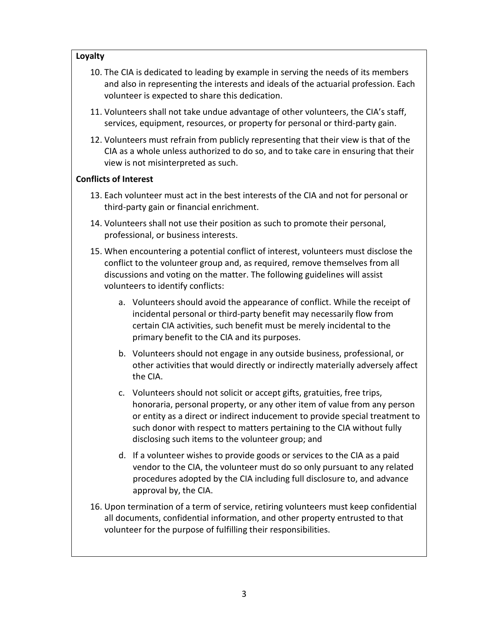## **Loyalty**

- 10. The CIA is dedicated to leading by example in serving the needs of its members and also in representing the interests and ideals of the actuarial profession. Each volunteer is expected to share this dedication.
- 11. Volunteers shall not take undue advantage of other volunteers, the CIA's staff, services, equipment, resources, or property for personal or third-party gain.
- 12. Volunteers must refrain from publicly representing that their view is that of the CIA as a whole unless authorized to do so, and to take care in ensuring that their view is not misinterpreted as such.

## **Conflicts of Interest**

- 13. Each volunteer must act in the best interests of the CIA and not for personal or third-party gain or financial enrichment.
- 14. Volunteers shall not use their position as such to promote their personal, professional, or business interests.
- 15. When encountering a potential conflict of interest, volunteers must disclose the conflict to the volunteer group and, as required, remove themselves from all discussions and voting on the matter. The following guidelines will assist volunteers to identify conflicts:
	- a. Volunteers should avoid the appearance of conflict. While the receipt of incidental personal or third-party benefit may necessarily flow from certain CIA activities, such benefit must be merely incidental to the primary benefit to the CIA and its purposes.
	- b. Volunteers should not engage in any outside business, professional, or other activities that would directly or indirectly materially adversely affect the CIA.
	- c. Volunteers should not solicit or accept gifts, gratuities, free trips, honoraria, personal property, or any other item of value from any person or entity as a direct or indirect inducement to provide special treatment to such donor with respect to matters pertaining to the CIA without fully disclosing such items to the volunteer group; and
	- d. If a volunteer wishes to provide goods or services to the CIA as a paid vendor to the CIA, the volunteer must do so only pursuant to any related procedures adopted by the CIA including full disclosure to, and advance approval by, the CIA.
- 16. Upon termination of a term of service, retiring volunteers must keep confidential all documents, confidential information, and other property entrusted to that volunteer for the purpose of fulfilling their responsibilities.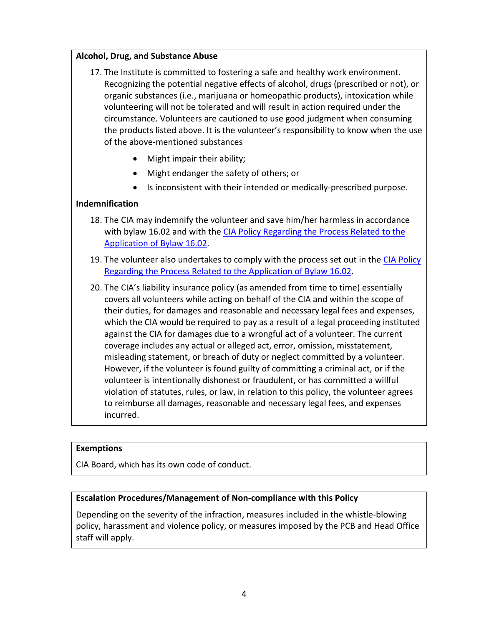### **Alcohol, Drug, and Substance Abuse**

- 17. The Institute is committed to fostering a safe and healthy work environment. Recognizing the potential negative effects of alcohol, drugs (prescribed or not), or organic substances (i.e., marijuana or homeopathic products), intoxication while volunteering will not be tolerated and will result in action required under the circumstance. Volunteers are cautioned to use good judgment when consuming the products listed above. It is the volunteer's responsibility to know when the use of the above-mentioned substances
	- Might impair their ability;
	- Might endanger the safety of others; or
	- Is inconsistent with their intended or medically-prescribed purpose.

### **Indemnification**

- 18. The CIA may indemnify the volunteer and save him/her harmless in accordance with bylaw 16.02 and with the [CIA Policy Regarding the Process Related to the](http://www.cia-ica.ca/docs/default-source/2020/220073e.pdf)  [Application of](http://www.cia-ica.ca/docs/default-source/2020/220073e.pdf) Bylaw 16.02.
- 19. The volunteer also undertakes to comply with the process set out in the CIA Policy [Regarding the Process Related to the Application of](http://www.cia-ica.ca/docs/default-source/2020/220073e.pdf) Bylaw 16.02.
- 20. The CIA's liability insurance policy (as amended from time to time) essentially covers all volunteers while acting on behalf of the CIA and within the scope of their duties, for damages and reasonable and necessary legal fees and expenses, which the CIA would be required to pay as a result of a legal proceeding instituted against the CIA for damages due to a wrongful act of a volunteer. The current coverage includes any actual or alleged act, error, omission, misstatement, misleading statement, or breach of duty or neglect committed by a volunteer. However, if the volunteer is found guilty of committing a criminal act, or if the volunteer is intentionally dishonest or fraudulent, or has committed a willful violation of statutes, rules, or law, in relation to this policy, the volunteer agrees to reimburse all damages, reasonable and necessary legal fees, and expenses incurred.

#### **Exemptions**

CIA Board, which has its own code of conduct.

#### **Escalation Procedures/Management of Non-compliance with this Policy**

Depending on the severity of the infraction, measures included in the whistle-blowing policy, harassment and violence policy, or measures imposed by the PCB and Head Office staff will apply.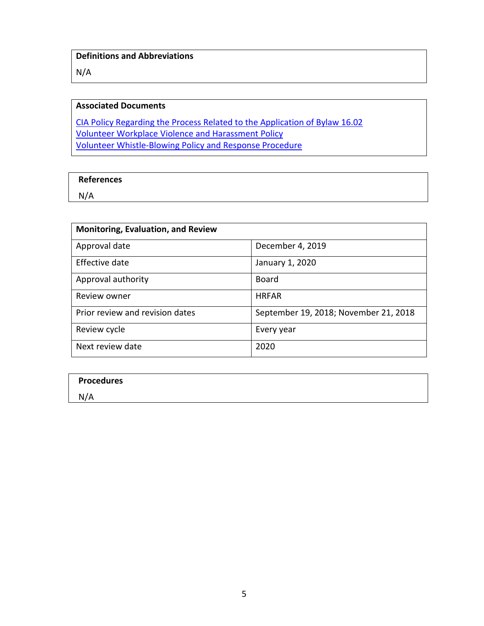N/A

## **Associated Documents**

[CIA Policy Regarding the Process Related to the Application of](http://www.cia-ica.ca/docs/default-source/2020/220073e.pdf) Bylaw 16.02 [Volunteer Workplace Violence and Harassment Policy](http://www.cia-ica.ca/docs/default-source/2020/220072e.pdf) [Volunteer Whistle-Blowing Policy](http://www.cia-ica.ca/docs/default-source/2019/219002e.pdf) and Response Procedure

#### **References**

N/A

| <b>Monitoring, Evaluation, and Review</b> |                                       |  |  |  |
|-------------------------------------------|---------------------------------------|--|--|--|
| Approval date                             | December 4, 2019                      |  |  |  |
| Effective date                            | January 1, 2020                       |  |  |  |
| Approval authority                        | Board                                 |  |  |  |
| Review owner                              | <b>HRFAR</b>                          |  |  |  |
| Prior review and revision dates           | September 19, 2018; November 21, 2018 |  |  |  |
| Review cycle                              | Every year                            |  |  |  |
| Next review date                          | 2020                                  |  |  |  |

| <b>Procedures</b> |  |  |
|-------------------|--|--|
| N/A               |  |  |